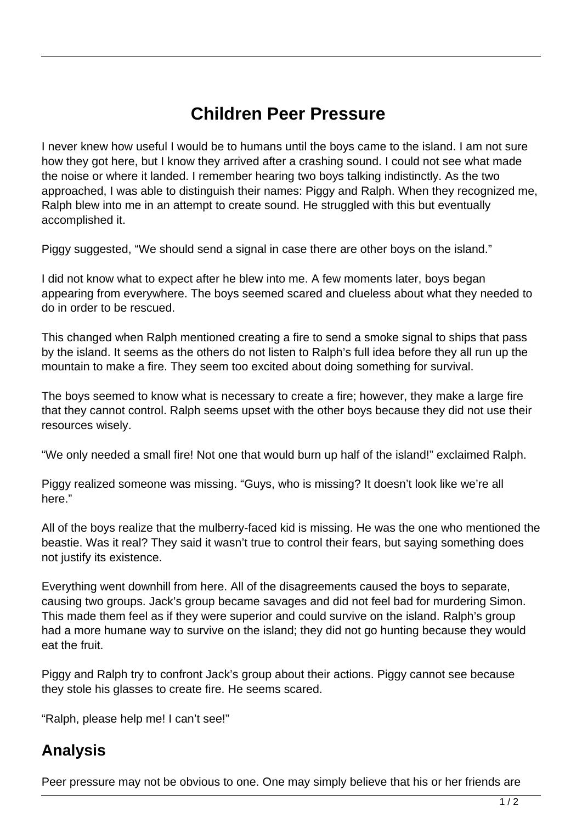## **Children Peer Pressure**

I never knew how useful I would be to humans until the boys came to the island. I am not sure how they got here, but I know they arrived after a crashing sound. I could not see what made the noise or where it landed. I remember hearing two boys talking indistinctly. As the two approached, I was able to distinguish their names: Piggy and Ralph. When they recognized me, Ralph blew into me in an attempt to create sound. He struggled with this but eventually accomplished it.

Piggy suggested, "We should send a signal in case there are other boys on the island."

I did not know what to expect after he blew into me. A few moments later, boys began appearing from everywhere. The boys seemed scared and clueless about what they needed to do in order to be rescued.

This changed when Ralph mentioned creating a fire to send a smoke signal to ships that pass by the island. It seems as the others do not listen to Ralph's full idea before they all run up the mountain to make a fire. They seem too excited about doing something for survival.

The boys seemed to know what is necessary to create a fire; however, they make a large fire that they cannot control. Ralph seems upset with the other boys because they did not use their resources wisely.

"We only needed a small fire! Not one that would burn up half of the island!" exclaimed Ralph.

Piggy realized someone was missing. "Guys, who is missing? It doesn't look like we're all here."

All of the boys realize that the mulberry-faced kid is missing. He was the one who mentioned the beastie. Was it real? They said it wasn't true to control their fears, but saying something does not justify its existence.

Everything went downhill from here. All of the disagreements caused the boys to separate, causing two groups. Jack's group became savages and did not feel bad for murdering Simon. This made them feel as if they were superior and could survive on the island. Ralph's group had a more humane way to survive on the island; they did not go hunting because they would eat the fruit.

Piggy and Ralph try to confront Jack's group about their actions. Piggy cannot see because they stole his glasses to create fire. He seems scared.

"Ralph, please help me! I can't see!"

## **Analysis**

Peer pressure may not be obvious to one. One may simply believe that his or her friends are